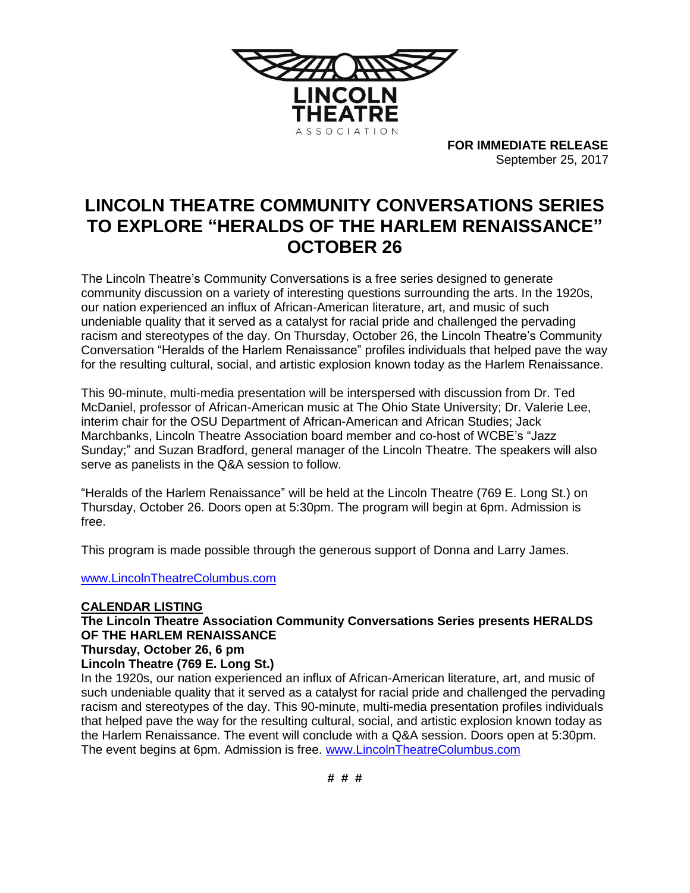

**FOR IMMEDIATE RELEASE** September 25, 2017

## **LINCOLN THEATRE COMMUNITY CONVERSATIONS SERIES TO EXPLORE "HERALDS OF THE HARLEM RENAISSANCE" OCTOBER 26**

The Lincoln Theatre's Community Conversations is a free series designed to generate community discussion on a variety of interesting questions surrounding the arts. In the 1920s, our nation experienced an influx of African-American literature, art, and music of such undeniable quality that it served as a catalyst for racial pride and challenged the pervading racism and stereotypes of the day. On Thursday, October 26, the Lincoln Theatre's Community Conversation "Heralds of the Harlem Renaissance" profiles individuals that helped pave the way for the resulting cultural, social, and artistic explosion known today as the Harlem Renaissance.

This 90-minute, multi-media presentation will be interspersed with discussion from Dr. Ted McDaniel, professor of African-American music at The Ohio State University; Dr. Valerie Lee, interim chair for the OSU Department of African-American and African Studies; Jack Marchbanks, Lincoln Theatre Association board member and co-host of WCBE's "Jazz Sunday;" and Suzan Bradford, general manager of the Lincoln Theatre. The speakers will also serve as panelists in the Q&A session to follow.

"Heralds of the Harlem Renaissance" will be held at the Lincoln Theatre (769 E. Long St.) on Thursday, October 26. Doors open at 5:30pm. The program will begin at 6pm. Admission is free.

This program is made possible through the generous support of Donna and Larry James.

[www.LincolnTheatreColumbus.com](http://www.lincolntheatrecolumbus.com/)

## **CALENDAR LISTING**

**The Lincoln Theatre Association Community Conversations Series presents HERALDS OF THE HARLEM RENAISSANCE Thursday, October 26, 6 pm**

## **Lincoln Theatre (769 E. Long St.)**

In the 1920s, our nation experienced an influx of African-American literature, art, and music of such undeniable quality that it served as a catalyst for racial pride and challenged the pervading racism and stereotypes of the day. This 90-minute, multi-media presentation profiles individuals that helped pave the way for the resulting cultural, social, and artistic explosion known today as the Harlem Renaissance. The event will conclude with a Q&A session. Doors open at 5:30pm. The event begins at 6pm. Admission is free. [www.LincolnTheatreColumbus.com](http://www.lincolntheatrecolumbus.com/)

**# # #**